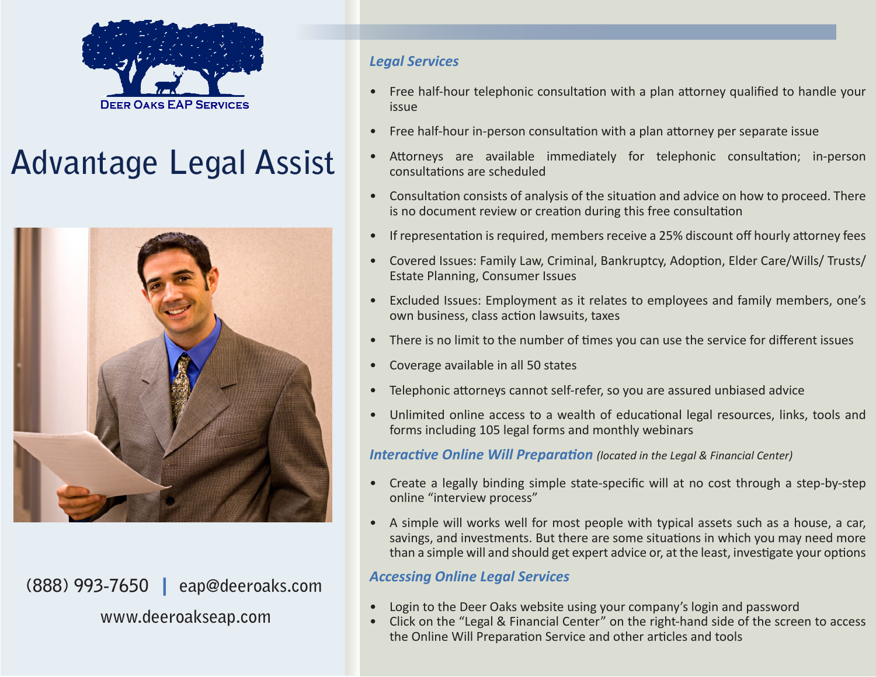

# **Advantage Legal Assist**



**(888) 993-7650** | **eap@deeroaks.com www.deeroakseap.com**

#### *Legal Services*

- Free half-hour telephonic consultation with a plan attorney qualified to handle your issue
- Free half-hour in-person consultation with a plan attorney per separate issue
- Attorneys are available immediately for telephonic consultation; in-person consultations are scheduled
- Consultation consists of analysis of the situation and advice on how to proceed. There is no document review or creation during this free consultation
- If representation is required, members receive a 25% discount off hourly attorney fees
- Covered Issues: Family Law, Criminal, Bankruptcy, Adoption, Elder Care/Wills/ Trusts/ Estate Planning, Consumer Issues
- Excluded Issues: Employment as it relates to employees and family members, one's own business, class action lawsuits, taxes
- There is no limit to the number of times you can use the service for different issues
- • Coverage available in all 50 states
- Telephonic attorneys cannot self-refer, so you are assured unbiased advice
- Unlimited online access to a wealth of educational legal resources, links, tools and forms including 105 legal forms and monthly webinars

*Interactive Online Will Preparation (located in the Legal & Financial Center)*

- Create a legally binding simple state-specific will at no cost through a step-by-step online "interview process"
- A simple will works well for most people with typical assets such as a house, a car, savings, and investments. But there are some situations in which you may need more than a simple will and should get expert advice or, at the least, investigate your options

#### *Accessing Online Legal Services*

- Login to the Deer Oaks website using your company's login and password
- Click on the "Legal & Financial Center" on the right-hand side of the screen to access the Online Will Preparation Service and other articles and tools